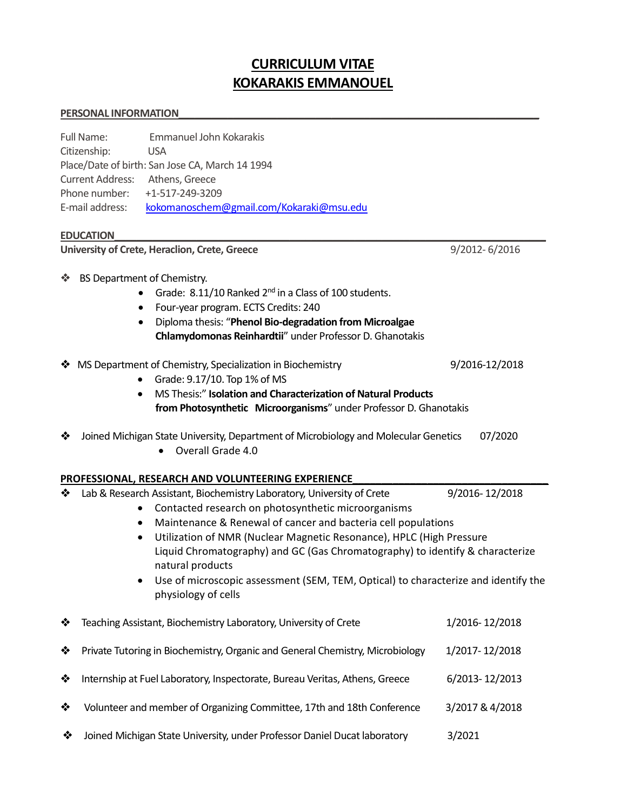# CURRICULUM VITAE KOKARAKIS EMMANOUEL

#### PERSONAL INFORMATION

| Emmanuel John Kokarakis<br>Full Name:<br>Citizenship:<br><b>USA</b><br>Place/Date of birth: San Jose CA, March 14 1994<br><b>Current Address:</b><br>Athens, Greece<br>Phone number:<br>+1-517-249-3209<br>E-mail address:<br>kokomanoschem@gmail.com/Kokaraki@msu.edu<br><b>EDUCATION</b> |                                                                                                                                                                                                                                                                                                                                                                                                                                                                                                                                      |                                                                                                                                                                                                                                                                                                                                                                                                     |                           |
|--------------------------------------------------------------------------------------------------------------------------------------------------------------------------------------------------------------------------------------------------------------------------------------------|--------------------------------------------------------------------------------------------------------------------------------------------------------------------------------------------------------------------------------------------------------------------------------------------------------------------------------------------------------------------------------------------------------------------------------------------------------------------------------------------------------------------------------------|-----------------------------------------------------------------------------------------------------------------------------------------------------------------------------------------------------------------------------------------------------------------------------------------------------------------------------------------------------------------------------------------------------|---------------------------|
| University of Crete, Heraclion, Crete, Greece<br>9/2012-6/2016                                                                                                                                                                                                                             |                                                                                                                                                                                                                                                                                                                                                                                                                                                                                                                                      |                                                                                                                                                                                                                                                                                                                                                                                                     |                           |
| ❖                                                                                                                                                                                                                                                                                          | BS Department of Chemistry.<br>٠<br>$\bullet$                                                                                                                                                                                                                                                                                                                                                                                                                                                                                        | Grade: 8.11/10 Ranked 2 <sup>nd</sup> in a Class of 100 students.<br>Four-year program. ECTS Credits: 240<br>Diploma thesis: "Phenol Bio-degradation from Microalgae<br>Chlamydomonas Reinhardtii" under Professor D. Ghanotakis                                                                                                                                                                    |                           |
| ❖                                                                                                                                                                                                                                                                                          | $\bullet$<br>$\bullet$                                                                                                                                                                                                                                                                                                                                                                                                                                                                                                               | MS Department of Chemistry, Specialization in Biochemistry<br>Grade: 9.17/10. Top 1% of MS<br>MS Thesis:" Isolation and Characterization of Natural Products<br>from Photosynthetic Microorganisms" under Professor D. Ghanotakis<br>Joined Michigan State University, Department of Microbiology and Molecular Genetics<br>Overall Grade 4.0<br>PROFESSIONAL, RESEARCH AND VOLUNTEERING EXPERIENCE | 9/2016-12/2018<br>07/2020 |
| ❖                                                                                                                                                                                                                                                                                          | 9/2016-12/2018<br>Lab & Research Assistant, Biochemistry Laboratory, University of Crete<br>Contacted research on photosynthetic microorganisms<br>Maintenance & Renewal of cancer and bacteria cell populations<br>$\bullet$<br>Utilization of NMR (Nuclear Magnetic Resonance), HPLC (High Pressure<br>$\bullet$<br>Liquid Chromatography) and GC (Gas Chromatography) to identify & characterize<br>natural products<br>Use of microscopic assessment (SEM, TEM, Optical) to characterize and identify the<br>physiology of cells |                                                                                                                                                                                                                                                                                                                                                                                                     |                           |
| ❖                                                                                                                                                                                                                                                                                          |                                                                                                                                                                                                                                                                                                                                                                                                                                                                                                                                      | Teaching Assistant, Biochemistry Laboratory, University of Crete                                                                                                                                                                                                                                                                                                                                    | 1/2016-12/2018            |
| ❖                                                                                                                                                                                                                                                                                          |                                                                                                                                                                                                                                                                                                                                                                                                                                                                                                                                      | Private Tutoring in Biochemistry, Organic and General Chemistry, Microbiology                                                                                                                                                                                                                                                                                                                       | 1/2017-12/2018            |
| ❖                                                                                                                                                                                                                                                                                          |                                                                                                                                                                                                                                                                                                                                                                                                                                                                                                                                      | Internship at Fuel Laboratory, Inspectorate, Bureau Veritas, Athens, Greece                                                                                                                                                                                                                                                                                                                         | 6/2013-12/2013            |
| ❖                                                                                                                                                                                                                                                                                          |                                                                                                                                                                                                                                                                                                                                                                                                                                                                                                                                      | Volunteer and member of Organizing Committee, 17th and 18th Conference                                                                                                                                                                                                                                                                                                                              | 3/2017 & 4/2018           |

Joined Michigan State University, under Professor Daniel Ducat laboratory 3/2021